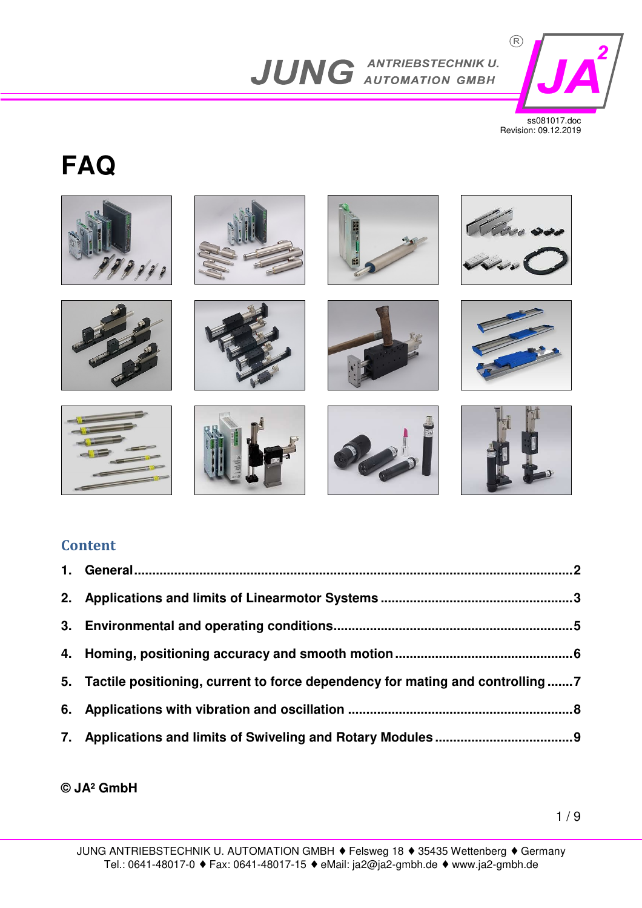

ss081017.doc Revision: 09.12.2019

# **FAQ**



## **Content**

| 5. Tactile positioning, current to force dependency for mating and controlling  7 |  |
|-----------------------------------------------------------------------------------|--|
|                                                                                   |  |
|                                                                                   |  |

## **© JA² GmbH**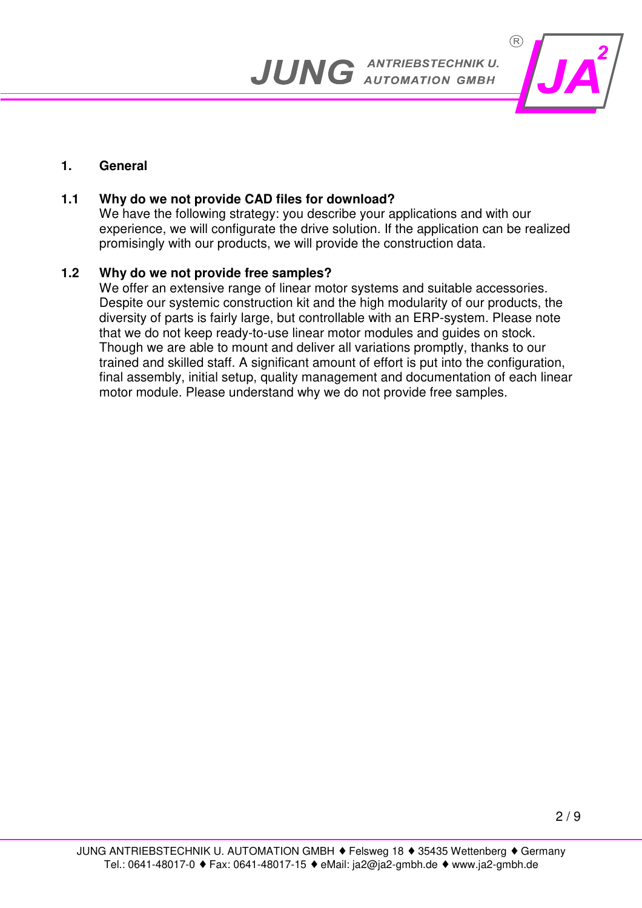

#### **1. General**

## **1.1 Why do we not provide CAD files for download?**

We have the following strategy: you describe your applications and with our experience, we will configurate the drive solution. If the application can be realized promisingly with our products, we will provide the construction data.

#### **1.2 Why do we not provide free samples?**

 We offer an extensive range of linear motor systems and suitable accessories. Despite our systemic construction kit and the high modularity of our products, the diversity of parts is fairly large, but controllable with an ERP-system. Please note that we do not keep ready-to-use linear motor modules and guides on stock. Though we are able to mount and deliver all variations promptly, thanks to our trained and skilled staff. A significant amount of effort is put into the configuration, final assembly, initial setup, quality management and documentation of each linear motor module. Please understand why we do not provide free samples.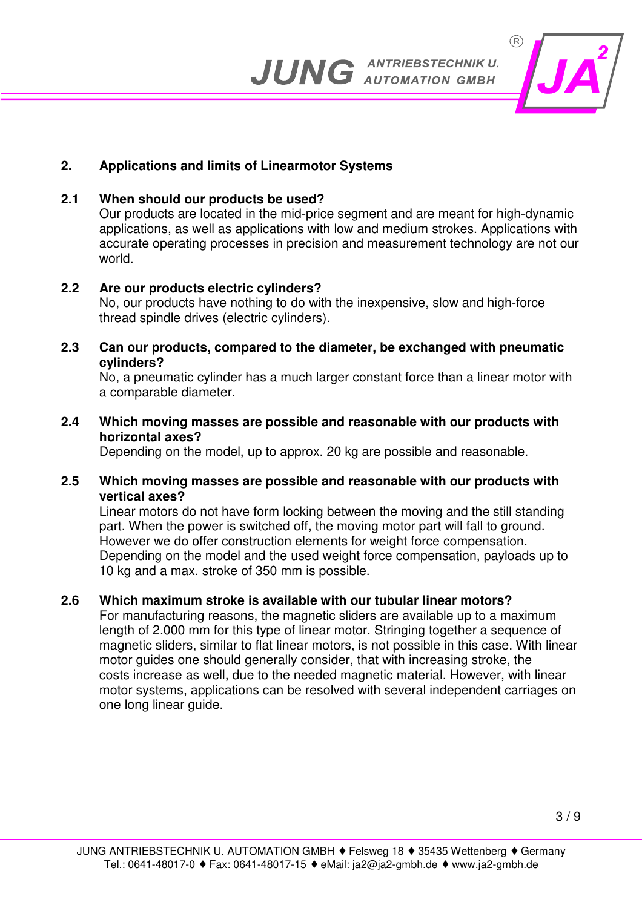

## **2. Applications and limits of Linearmotor Systems**

## **2.1 When should our products be used?**

 Our products are located in the mid-price segment and are meant for high-dynamic applications, as well as applications with low and medium strokes. Applications with accurate operating processes in precision and measurement technology are not our world.

#### **2.2 Are our products electric cylinders?**

 No, our products have nothing to do with the inexpensive, slow and high-force thread spindle drives (electric cylinders).

#### **2.3 Can our products, compared to the diameter, be exchanged with pneumatic cylinders?**

 No, a pneumatic cylinder has a much larger constant force than a linear motor with a comparable diameter.

#### **2.4 Which moving masses are possible and reasonable with our products with horizontal axes?**

Depending on the model, up to approx. 20 kg are possible and reasonable.

#### **2.5 Which moving masses are possible and reasonable with our products with vertical axes?**

 Linear motors do not have form locking between the moving and the still standing part. When the power is switched off, the moving motor part will fall to ground. However we do offer construction elements for weight force compensation. Depending on the model and the used weight force compensation, payloads up to 10 kg and a max. stroke of 350 mm is possible.

## **2.6 Which maximum stroke is available with our tubular linear motors?**

 For manufacturing reasons, the magnetic sliders are available up to a maximum length of 2.000 mm for this type of linear motor. Stringing together a sequence of magnetic sliders, similar to flat linear motors, is not possible in this case. With linear motor guides one should generally consider, that with increasing stroke, the costs increase as well, due to the needed magnetic material. However, with linear motor systems, applications can be resolved with several independent carriages on one long linear guide.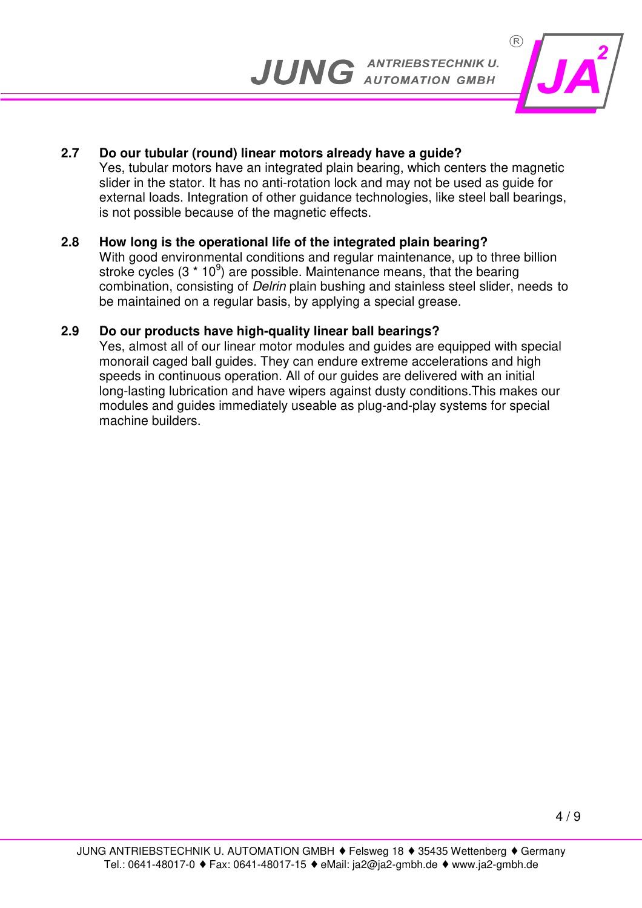

#### **2.7 Do our tubular (round) linear motors already have a guide?**

 Yes, tubular motors have an integrated plain bearing, which centers the magnetic slider in the stator. It has no anti-rotation lock and may not be used as guide for external loads. Integration of other guidance technologies, like steel ball bearings, is not possible because of the magnetic effects.

#### **2.8 How long is the operational life of the integrated plain bearing?**

 With good environmental conditions and regular maintenance, up to three billion stroke cycles (3  $*$  10<sup>9</sup>) are possible. Maintenance means, that the bearing combination, consisting of Delrin plain bushing and stainless steel slider, needs to be maintained on a regular basis, by applying a special grease.

#### **2.9 Do our products have high-quality linear ball bearings?**

 Yes, almost all of our linear motor modules and guides are equipped with special monorail caged ball guides. They can endure extreme accelerations and high speeds in continuous operation. All of our guides are delivered with an initial long-lasting lubrication and have wipers against dusty conditions.This makes our modules and guides immediately useable as plug-and-play systems for special machine builders.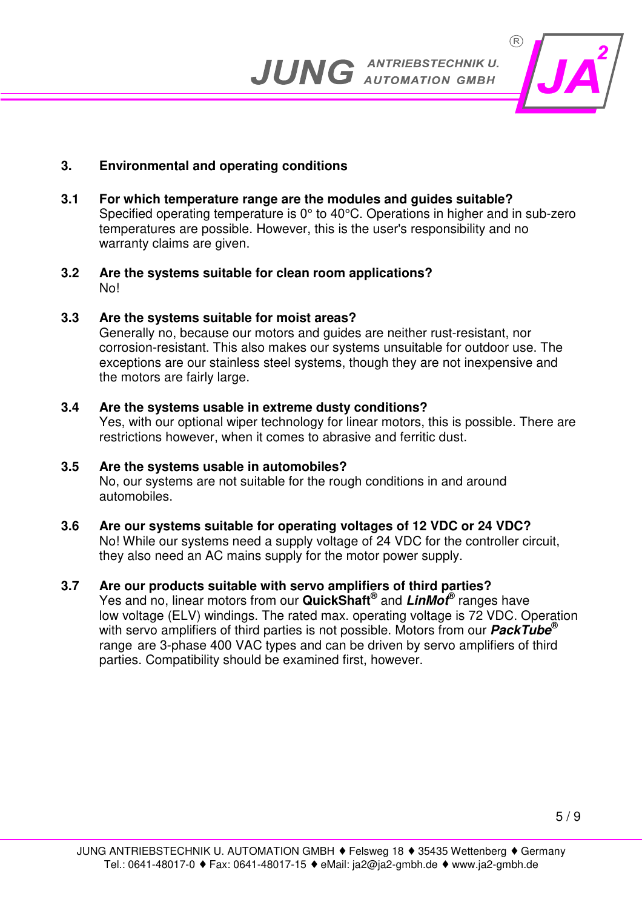

## **3. Environmental and operating conditions**

- **3.1 For which temperature range are the modules and guides suitable?**  Specified operating temperature is 0° to 40°C. Operations in higher and in sub-zero temperatures are possible. However, this is the user's responsibility and no warranty claims are given.
- **3.2 Are the systems suitable for clean room applications?**  No!

## **3.3 Are the systems suitable for moist areas?**

 Generally no, because our motors and guides are neither rust-resistant, nor corrosion-resistant. This also makes our systems unsuitable for outdoor use. The exceptions are our stainless steel systems, though they are not inexpensive and the motors are fairly large.

## **3.4 Are the systems usable in extreme dusty conditions?**

 Yes, with our optional wiper technology for linear motors, this is possible. There are restrictions however, when it comes to abrasive and ferritic dust.

## **3.5 Are the systems usable in automobiles?**

 No, our systems are not suitable for the rough conditions in and around automobiles.

## **3.6 Are our systems suitable for operating voltages of 12 VDC or 24 VDC?**

 No! While our systems need a supply voltage of 24 VDC for the controller circuit, they also need an AC mains supply for the motor power supply.

## **3.7 Are our products suitable with servo amplifiers of third parties?**

Yes and no, linear motors from our **QuickShaft<sup>®</sup> and LinMot<sup>®</sup> ranges have**  low voltage (ELV) windings. The rated max. operating voltage is 72 VDC. Operation with servo amplifiers of third parties is not possible. Motors from our **PackTube®** range are 3-phase 400 VAC types and can be driven by servo amplifiers of third parties. Compatibility should be examined first, however.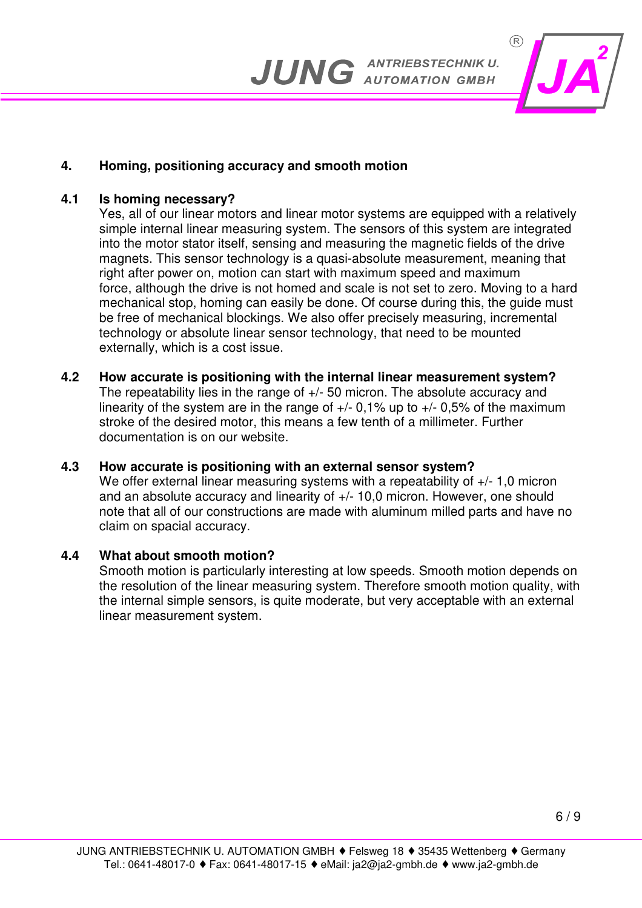

## **4. Homing, positioning accuracy and smooth motion**

#### **4.1 Is homing necessary?**

 Yes, all of our linear motors and linear motor systems are equipped with a relatively simple internal linear measuring system. The sensors of this system are integrated into the motor stator itself, sensing and measuring the magnetic fields of the drive magnets. This sensor technology is a quasi-absolute measurement, meaning that right after power on, motion can start with maximum speed and maximum force, although the drive is not homed and scale is not set to zero. Moving to a hard mechanical stop, homing can easily be done. Of course during this, the guide must be free of mechanical blockings. We also offer precisely measuring, incremental technology or absolute linear sensor technology, that need to be mounted externally, which is a cost issue.

**4.2 How accurate is positioning with the internal linear measurement system?**  The repeatability lies in the range of +/- 50 micron. The absolute accuracy and linearity of the system are in the range of  $+/-$  0.1% up to  $+/-$  0.5% of the maximum stroke of the desired motor, this means a few tenth of a millimeter. Further documentation is on our website.

#### **4.3 How accurate is positioning with an external sensor system?**

We offer external linear measuring systems with a repeatability of  $+/-1,0$  micron and an absolute accuracy and linearity of +/- 10,0 micron. However, one should note that all of our constructions are made with aluminum milled parts and have no claim on spacial accuracy.

#### **4.4 What about smooth motion?**

 Smooth motion is particularly interesting at low speeds. Smooth motion depends on the resolution of the linear measuring system. Therefore smooth motion quality, with the internal simple sensors, is quite moderate, but very acceptable with an external linear measurement system.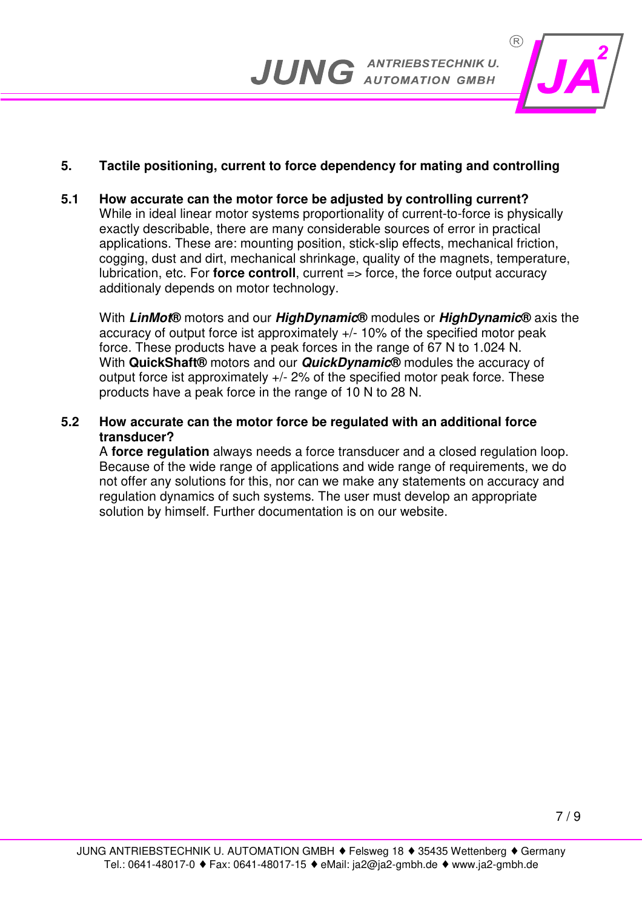

## **5. Tactile positioning, current to force dependency for mating and controlling**

**5.1 How accurate can the motor force be adjusted by controlling current?**  While in ideal linear motor systems proportionality of current-to-force is physically exactly describable, there are many considerable sources of error in practical applications. These are: mounting position, stick-slip effects, mechanical friction, cogging, dust and dirt, mechanical shrinkage, quality of the magnets, temperature, lubrication, etc. For **force controll**, current => force, the force output accuracy additionaly depends on motor technology.

 With **LinMot®** motors and our **HighDynamic®** modules or **HighDynamic®** axis the accuracy of output force ist approximately +/- 10% of the specified motor peak force. These products have a peak forces in the range of 67 N to 1.024 N. With **QuickShaft®** motors and our **QuickDynamic®** modules the accuracy of output force ist approximately  $+/-$  2% of the specified motor peak force. These products have a peak force in the range of 10 N to 28 N.

**5.2 How accurate can the motor force be regulated with an additional force transducer?** 

 A **force regulation** always needs a force transducer and a closed regulation loop. Because of the wide range of applications and wide range of requirements, we do not offer any solutions for this, nor can we make any statements on accuracy and regulation dynamics of such systems. The user must develop an appropriate solution by himself. Further documentation is on our website.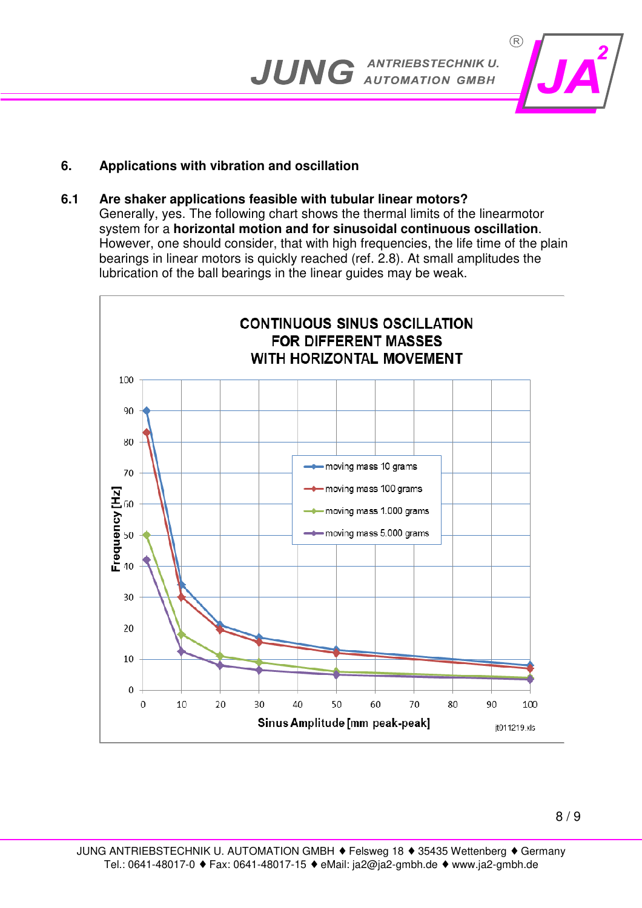

## **6. Applications with vibration and oscillation**

#### **6.1 Are shaker applications feasible with tubular linear motors?**

 Generally, yes. The following chart shows the thermal limits of the linearmotor system for a **horizontal motion and for sinusoidal continuous oscillation**. However, one should consider, that with high frequencies, the life time of the plain bearings in linear motors is quickly reached (ref. 2.8). At small amplitudes the lubrication of the ball bearings in the linear guides may be weak.